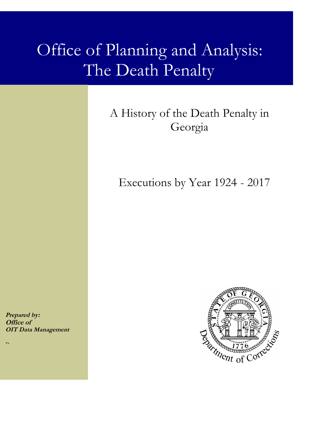# Office of Planning and Analysis: The Death Penalty

# A History of the Death Penalty in Georgia

Executions by Year 1924 - 2017

**Prepared by: Office of OIT Data Management**

n,

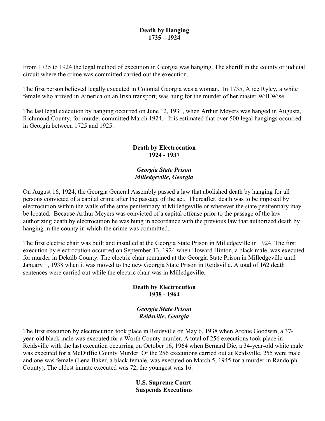# **Death by Hanging 1735 – 1924**

From 1735 to 1924 the legal method of execution in Georgia was hanging. The sheriff in the county or judicial circuit where the crime was committed carried out the execution.

The first person believed legally executed in Colonial Georgia was a woman. In 1735, Alice Ryley, a white female who arrived in America on an Irish transport, was hung for the murder of her master Will Wise.

The last legal execution by hanging occurred on June 12, 1931, when Arthur Meyers was hanged in Augusta, Richmond County, for murder committed March 1924. It is estimated that over 500 legal hangings occurred in Georgia between 1725 and 1925.

# **Death by Electrocution 1924 - 1937**

# *Georgia State Prison Milledgeville, Georgia*

On August 16, 1924, the Georgia General Assembly passed a law that abolished death by hanging for all persons convicted of a capital crime after the passage of the act. Thereafter, death was to be imposed by electrocution within the walls of the state penitentiary at Milledgeville or wherever the state penitentiary may be located. Because Arthur Meyers was convicted of a capital offense prior to the passage of the law authorizing death by electrocution he was hung in accordance with the previous law that authorized death by hanging in the county in which the crime was committed.

The first electric chair was built and installed at the Georgia State Prison in Milledgeville in 1924. The first execution by electrocution occurred on September 13, 1924 when Howard Hinton, a black male, was executed for murder in Dekalb County. The electric chair remained at the Georgia State Prison in Milledgeville until January 1, 1938 when it was moved to the new Georgia State Prison in Reidsville. A total of 162 death sentences were carried out while the electric chair was in Milledgeville.

# **Death by Electrocution 1938 - 1964**

## *Georgia State Prison Reidsville, Georgia*

The first execution by electrocution took place in Reidsville on May 6, 1938 when Archie Goodwin, a 37 year-old black male was executed for a Worth County murder. A total of 256 executions took place in Reidsville with the last execution occurring on October 16, 1964 when Bernard Die, a 34-year-old white male was executed for a McDuffie County Murder. Of the 256 executions carried out at Reidsville, 255 were male and one was female (Lena Baker, a black female, was executed on March 5, 1945 for a murder in Randolph County). The oldest inmate executed was 72, the youngest was 16.

> **U.S. Supreme Court Suspends Executions**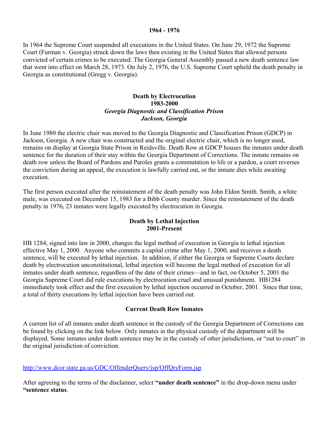#### **1964 - 1976**

In 1964 the Supreme Court suspended all executions in the United States. On June 29, 1972 the Supreme Court (Furman v. Georgia) struck down the laws then existing in the United States that allowed persons convicted of certain crimes to be executed. The Georgia General Assembly passed a new death sentence law that went into effect on March 28, 1973. On July 2, 1976, the U.S. Supreme Court upheld the death penalty in Georgia as constitutional (Gregg v. Georgia).

# **Death by Electrocution 1983-2000** *Georgia Diagnostic and Classification Prison Jackson, Georgia*

In June 1980 the electric chair was moved to the Georgia Diagnostic and Classification Prison (GDCP) in Jackson, Georgia. A new chair was constructed and the original electric chair, which is no longer used, remains on display at Georgia State Prison in Reidsville. Death Row at GDCP houses the inmates under death sentence for the duration of their stay within the Georgia Department of Corrections. The inmate remains on death row unless the Board of Pardons and Paroles grants a commutation to life or a pardon, a court reverses the conviction during an appeal, the execution is lawfully carried out, or the inmate dies while awaiting execution.

The first person executed after the reinstatement of the death penalty was John Eldon Smith. Smith, a white male, was executed on December 15, 1983 for a Bibb County murder. Since the reinstatement of the death penalty in 1976, 23 inmates were legally executed by electrocution in Georgia.

## **Death by Lethal Injection 2001-Present**

HB 1284, signed into law in 2000, changes the legal method of execution in Georgia to lethal injection effective May 1, 2000. Anyone who commits a capital crime after May 1, 2000, and receives a death sentence, will be executed by lethal injection. In addition, if either the Georgia or Supreme Courts declare death by electrocution unconstitutional, lethal injection will become the legal method of execution for all inmates under death sentence, regardless of the date of their crimes—and in fact, on October 5, 2001 the Georgia Supreme Court did rule executions by electrocution cruel and unusual punishment. HB1284 immediately took effect and the first execution by lethal injection occurred in October, 2001. Since that time, a total of thirty executions by lethal injection have been carried out.

#### **Current Death Row Inmates**

A current list of all inmates under death sentence in the custody of the Georgia Department of Corrections can be found by clicking on the link below. Only inmates in the physical custody of the department will be displayed. Some inmates under death sentence may be in the custody of other jurisdictions, or "out to court" in the original jurisdiction of conviction.

#### <http://www.dcor.state.ga.us/GDC/OffenderQuery/jsp/OffQryForm.jsp>

After agreeing to the terms of the disclaimer, select **"under death sentence"** in the drop-down menu under **"sentence status**.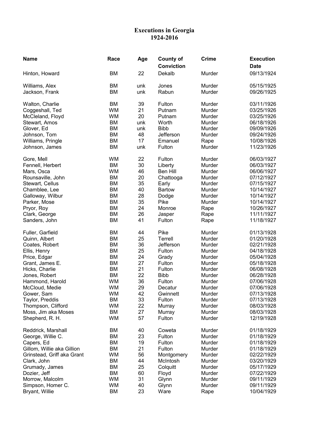#### **Executions in Georgia 1924-2016**

| <b>Name</b>                      | Race            | Age        | <b>County of</b><br><b>Conviction</b> | <b>Crime</b>     | <b>Execution</b><br><b>Date</b> |
|----------------------------------|-----------------|------------|---------------------------------------|------------------|---------------------------------|
| Hinton, Howard                   | <b>BM</b>       | 22         | Dekalb                                | Murder           | 09/13/1924                      |
|                                  |                 |            |                                       |                  |                                 |
| Williams, Alex<br>Jackson, Frank | BM<br><b>BM</b> | unk<br>unk | Jones<br>Rabun                        | Murder<br>Murder | 05/15/1925<br>09/26/1925        |
|                                  |                 |            |                                       |                  |                                 |
| Walton, Charlie                  | <b>BM</b>       | 39         | Fulton                                | Murder           | 03/11/1926                      |
| Coggeshall, Ted                  | <b>WM</b>       | 21         | Putnam                                | Murder           | 03/25/1926                      |
| McCleland, Floyd                 | <b>WM</b>       | 20         | Putnam                                | Murder           | 03/25/1926                      |
| Stewart, Amos                    | <b>BM</b>       | unk        | Worth                                 | Murder           | 06/18/1926                      |
| Glover, Ed                       | <b>BM</b>       | unk        | <b>Bibb</b>                           | Murder           | 09/09/1926                      |
| Johnson, Tom                     | <b>BM</b>       | 48         | Jefferson                             | Murder           | 09/24/1926                      |
| Williams, Pringle                | <b>BM</b>       | 17         | Emanuel                               | Rape             | 10/08/1926                      |
| Johnson, James                   | <b>BM</b>       | unk        | Fulton                                | Murder           | 11/23/1926                      |
| Gore, Mell                       | <b>WM</b>       | 22         | Fulton                                | Murder           | 06/03/1927                      |
| Fennell, Herbert                 | <b>BM</b>       | 30         | Liberty                               | Murder           | 06/03/1927                      |
| Mars, Osca                       | <b>WM</b>       | 46         | Ben Hill                              | Murder           | 06/06/1927                      |
| Rounsaville, John                | <b>BM</b>       | 20         | Chattooga                             | Murder           | 07/12/1927                      |
| Stewart, Cellus                  | <b>BM</b>       | 35         | Early                                 | Murder           | 07/15/1927                      |
| Chamblee, Lee                    | <b>BM</b>       | 40         | <b>Bartow</b>                         | Murder           | 10/14/1927                      |
| Galloway, Wilbur                 | <b>BM</b>       | 28         | Dodge                                 | Murder           | 10/14/1927                      |
| Parker, Mose                     | <b>BM</b>       | 35         | Pike                                  | Murder           | 10/14/1927                      |
| Pryor, Roy                       | <b>BM</b>       | 24         | Monroe                                | Rape             | 10/26/1927                      |
| Clark, George                    | <b>BM</b>       | 26         | Jasper                                | Rape             | 11/11/1927                      |
| Sanders, John                    | <b>BM</b>       | 41         | Fulton                                | Rape             | 11/18/1927                      |
| Fuller, Garfield                 | <b>BM</b>       | 44         | Pike                                  | Murder           | 01/13/1928                      |
| Quinn, Albert                    | <b>BM</b>       | 25         | Terrell                               | Murder           | 01/20/1928                      |
| Coates, Robert                   | <b>BM</b>       | 36         | Jefferson                             | Murder           | 02/21/1928                      |
| Ellis, Henry                     | <b>BM</b>       | 25         | Fulton                                | Murder           | 04/18/1928                      |
| Price, Edgar                     | <b>BM</b>       | 24         | Grady                                 | Murder           | 05/04/1928                      |
| Grant, James E.                  | <b>BM</b>       | 27         | Fulton                                | Murder           | 05/18/1928                      |
| Hicks, Charlie                   | <b>BM</b>       | 21         | Fulton                                | Murder           | 06/08/1928                      |
| Jones, Robert                    | BM              | 22         | <b>Bibb</b>                           | Murder           | 06/28/1928                      |
| Hammond, Harold                  | <b>WM</b>       | 36         | Fulton                                | Murder           | 07/06/1928                      |
| McCloud, Medie                   | <b>WM</b>       | 29         | Decatur                               | Murder           | 07/06/1928                      |
| Gower, Sam                       | <b>WM</b>       | 42         | Gwinnett                              | Murder           | 07/13/1928                      |
| Taylor, Preddis                  | BM              | 33         | Fulton                                | Murder           | 07/13/1928                      |
| Thompson, Clifford               | <b>WM</b>       | 22         | Murray                                | Murder           | 08/03/1928                      |
| Moss, Jim aka Moses              | BM              | 27         | Murray                                | Murder           | 08/03/1928                      |
| Shepherd, R. H.                  | <b>WM</b>       | 57         | Fulton                                | Murder           | 12/19/1928                      |
| Reddrick, Marshall               | <b>BM</b>       | 40         | Coweta                                | Murder           | 01/18/1929                      |
| George, Willie C.                | <b>BM</b>       | 23         | Fulton                                | Murder           | 01/18/1929                      |
| Capers, Ed                       | <b>BM</b>       | 19         | Fulton                                | Murder           | 01/18/1929                      |
| Gillom, Willie aka Gillion       | BM              | 21         | Fulton                                | Murder           | 01/18/1929                      |
| Grinstead, Griff aka Grant       | WM              | 56         | Montgomery                            | Murder           | 02/22/1929                      |
| Clark, John                      | BM              | 44         | McIntosh                              | Murder           | 03/20/1929                      |
| Grumady, James                   | BM              | 25         | Colquitt                              | Murder           | 05/17/1929                      |
| Dozier, Jeff                     | BM              | 60         | Floyd                                 | Murder           | 07/22/1929                      |
| Morrow, Malcolm                  | <b>WM</b>       | 31         | Glynn                                 | Murder           | 09/11/1929                      |
| Simpson, Homer C.                | <b>WM</b>       | 40         | Glynn                                 | Murder           | 09/11/1929                      |
| Bryant, Willie                   | ВM              | 23         | Ware                                  | Rape             | 10/04/1929                      |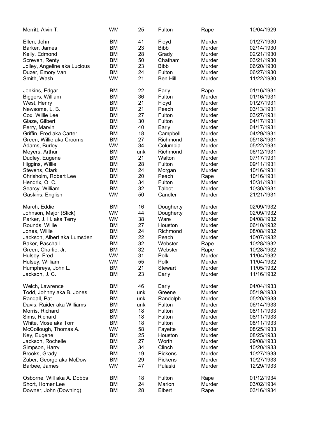| Merritt, Alvin T.            | <b>WM</b> | 25  | Fulton         | Rape   | 10/04/1929 |
|------------------------------|-----------|-----|----------------|--------|------------|
| Ellen, John                  | <b>BM</b> | 41  | Floyd          | Murder | 01/27/1930 |
| Barker, James                | <b>BM</b> | 23  | <b>Bibb</b>    | Murder | 02/14/1930 |
| Kelly, Edmond                | <b>BM</b> | 28  | Grady          | Murder | 02/21/1930 |
|                              |           | 50  |                |        |            |
| Screven, Renty               | BM        |     | Chatham        | Murder | 03/21/1930 |
| Jolley, Angeline aka Lucious | <b>BM</b> | 23  | <b>Bibb</b>    | Murder | 06/20/1930 |
| Duzer, Emory Van             | <b>BM</b> | 24  | Fulton         | Murder | 06/27/1930 |
| Smith, Wash                  | <b>WM</b> | 21  | Ben Hill       | Murder | 11/22/1930 |
| Jenkins, Edgar               | <b>BM</b> | 22  | Early          | Rape   | 01/16/1931 |
| Biggers, William             | <b>BM</b> | 36  | Fulton         | Murder | 01/16/1931 |
| West, Henry                  | <b>BM</b> | 21  | Floyd          | Murder | 01/27/1931 |
| Newsome, L. B.               | <b>BM</b> | 21  | Peach          | Murder | 03/13/1931 |
| Cox, Willie Lee              | BM        | 27  | Fulton         | Murder | 03/27/1931 |
| Glaze, Gilbert               | <b>BM</b> | 30  | Fulton         | Murder | 04/17/1931 |
| Perry, Marvin                | <b>BM</b> | 40  | Early          | Murder | 04/17/1931 |
| Griffin, Fred aka Carter     | BM        | 18  | Campbell       | Murder | 04/29/1931 |
| Green, Willie aka Crooms     | BM        | 27  | Richmond       | Murder | 05/18/1931 |
| Adams, Burley                | <b>WM</b> | 34  | Columbia       | Murder | 05/22/1931 |
| Meyers, Arthur               | BM        | unk | Richmond       | Murder | 06/12/1931 |
| Dudley, Eugene               | <b>BM</b> | 21  | Walton         | Murder | 07/17/1931 |
| Higgins, Willie              | <b>BM</b> | 28  | Fulton         | Murder | 09/11/1931 |
| Stevens, Clark               | <b>BM</b> | 24  | Morgan         | Murder | 10/16/1931 |
|                              | <b>BM</b> | 20  | Peach          |        | 10/16/1931 |
| Chrisholm, Robert Lee        |           |     |                | Rape   |            |
| Hendrix, O. C.               | <b>BM</b> | 34  | Fulton         | Murder | 10/31/1931 |
| Searcy, William              | BM        | 32  | Talbot         | Murder | 10/30/1931 |
| Gaskins, English             | <b>WM</b> | 50  | Candler        | Murder | 21/21/1931 |
| March, Eddie                 | BM        | 16  | Dougherty      | Murder | 02/09/1932 |
| Johnson, Major (Slick)       | <b>WM</b> | 44  | Dougherty      | Murder | 02/09/1932 |
| Parker, J. H. aka Terry      | <b>WM</b> | 38  | Ware           | Murder | 04/08/1932 |
| Rounds, Willie               | BM        | 27  | Houston        | Murder | 06/10/1932 |
| Jones, Willie                | <b>BM</b> | 24  | Richmond       | Murder | 08/08/1932 |
| Jackson, Albert aka Lumsden  | <b>BM</b> | 22  | Peach          | Murder | 10/07/1932 |
| Baker, Paschall              | <b>BM</b> | 32  | Webster        | Rape   | 10/28/1932 |
| Green, Charlie, Jr.          | <b>BM</b> | 32  | Webster        | Rape   | 10/28/1932 |
| Hulsey, Fred                 | <b>WM</b> | 31  | Polk           | Murder | 11/04/1932 |
| Hulsey, William              | <b>WM</b> | 55  | Polk           | Murder | 11/04/1932 |
| Humphreys, John L.           | <b>BM</b> | 21  | <b>Stewart</b> | Murder | 11/05/1932 |
| Jackson, J. C.               | <b>BM</b> | 23  | Early          | Murder | 11/16/1932 |
|                              |           |     |                |        |            |
| Welch, Lawrence              | BM        | 46  | Early          | Murder | 04/04/1933 |
| Todd, Johnny aka B. Jones    | BM        | unk | Greene         | Murder | 05/19/1933 |
| Randall, Pat                 | BM        | unk | Randolph       | Murder | 05/20/1933 |
| Davis, Raider aka Williams   | BM        | unk | Fulton         | Murder | 06/14/1933 |
| Morris, Richard              | <b>BM</b> | 18  | Fulton         | Murder | 08/11/1933 |
| Sims, Richard                | <b>BM</b> | 18  | Fulton         | Murder | 08/11/1933 |
| White, Mose aka Tom          | <b>BM</b> | 18  | Fulton         | Murder | 08/11/1933 |
| McCollough, Thomas A.        | <b>WM</b> | 58  | Fayette        | Murder | 08/25/1933 |
| Key, Eugene                  | BM        | 25  | Houston        | Murder | 08/25/1933 |
| Jackson, Rochelle            | <b>BM</b> | 27  | Worth          | Murder | 09/08/1933 |
| Simpson, Harry               | <b>BM</b> | 34  | Clinch         | Murder | 10/20/1933 |
| Brooks, Grady                | <b>BM</b> | 19  | Pickens        | Murder | 10/27/1933 |
| Zuber, George aka McDow      | BM        | 29  | Pickens        | Murder | 10/27/1933 |
| Barbee, James                | <b>WM</b> | 47  | Pulaski        | Murder | 12/29/1933 |
|                              |           |     |                |        |            |
| Osborne, Will aka A. Dobbs   | BM        | 18  | Fulton         | Rape   | 01/12/1934 |
| Short, Homer Lee             | <b>BM</b> | 24  | Marion         | Murder | 03/02/1934 |
| Downer, John (Downing)       | BM        | 28  | Elbert         | Rape   | 03/16/1934 |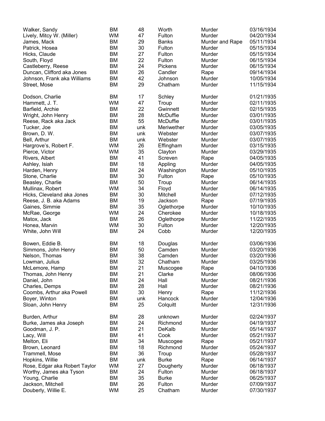| Walker, Sandy                 | <b>BM</b> | 48  | Worth              | Murder          | 03/16/1934 |
|-------------------------------|-----------|-----|--------------------|-----------------|------------|
| Lively, Mitcy W. (Miller)     | <b>WM</b> | 47  | Fulton             | Murder          | 04/20/1934 |
| James, Mack                   | <b>BM</b> | 29  | <b>Banks</b>       | Murder and Rape | 05/11/1934 |
| Patrick, Hosea                | <b>BM</b> | 30  | Fulton             | Murder          | 05/15/1934 |
| Hicks, Claude                 | <b>BM</b> | 27  | Fulton             | Murder          | 05/15/1934 |
| South, Floyd                  | <b>BM</b> | 22  | Fulton             | Murder          | 06/15/1934 |
| Castleberry, Reese            | <b>BM</b> | 24  | Pickens            | Murder          | 06/15/1934 |
| Duncan, Clifford aka Jones    | <b>BM</b> | 26  | Candler            | Rape            | 09/14/1934 |
| Johnson, Frank aka Williams   | <b>BM</b> | 42  | Johnson            | Murder          | 10/05/1934 |
| Street, Mose                  | <b>BM</b> | 29  | Chatham            | Murder          | 11/15/1934 |
|                               |           |     |                    |                 |            |
| Dodson, Charlie               | <b>BM</b> | 17  | Schley             | Murder          | 01/21/1935 |
| Hammett, J. T.                | <b>WM</b> | 47  | Troup              | Murder          | 02/11/1935 |
| Barfield, Archie              | <b>BM</b> | 22  | Gwinnett           | Murder          | 02/15/1935 |
| Wright, John Henry            | <b>BM</b> | 28  | McDuffie           | Murder          | 03/01/1935 |
| Reese, Rack aka Jack          | <b>BM</b> | 55  | McDuffie           | Murder          | 03/01/1935 |
| Tucker, Joe                   | <b>BM</b> | unk | Meriwether         | Murder          | 03/05/1935 |
| Brown, D. W.                  | <b>BM</b> | unk | Webster            | Murder          | 03/07/1935 |
| Bell, Arthur                  | <b>BM</b> | unk | Webster            | Murder          | 03/07/1935 |
| Hargrove's, Robert F.         | <b>WM</b> | 26  | Effingham          | Murder          | 03/15/1935 |
|                               | <b>WM</b> | 35  |                    | Murder          | 03/29/1935 |
| Pierce, Victor                |           | 41  | Clayton<br>Screven |                 |            |
| Rivers, Albert                | <b>BM</b> |     |                    | Rape            | 04/05/1935 |
| Ashley, Isiah                 | <b>BM</b> | 18  | Appling            | Murder          | 04/05/1935 |
| Harden, Henry                 | <b>BM</b> | 24  | Washington         | Murder          | 05/10/1935 |
| Stone, Charlie                | <b>BM</b> | 30  | Fulton             | Rape            | 05/10/1935 |
| Beasley, Charlie              | <b>BM</b> | 50  | Troup              | Murder          | 06/14/1935 |
| Mullinax, Robert              | <b>WM</b> | 34  | Floyd              | Murder          | 06/14/1935 |
| Hicks, Cleveland aka Jones    | <b>BM</b> | 30  | Mitchell           | Murder          | 07/12/1935 |
| Reese, J. B. aka Adams        | <b>BM</b> | 19  | Jackson            | Rape            | 07/19/1935 |
| Gaines, Simmie                | <b>BM</b> | 35  | Oglethorpe         | Murder          | 10/10/1935 |
| McRae, George                 | <b>WM</b> | 24  | Cherokee           | Murder          | 10/18/1935 |
| Matox, Jack                   | <b>BM</b> | 26  | Oglethorpe         | Murder          | 11/22/1935 |
| Honea, Marvin                 | <b>WM</b> | 30  | Fulton             | Murder          | 12/20/1935 |
| White, John Will              | <b>BM</b> | 24  | Cobb               | Murder          | 12/20/1935 |
|                               |           |     |                    |                 |            |
| Bowen, Eddie B.               | <b>BM</b> | 18  | Douglas            | Murder          | 03/06/1936 |
| Simmons, John Henry           | BM        | 50  | Camden             | Murder          | 03/20/1936 |
| Nelson, Thomas                | <b>BM</b> | 38  | Camden             | Murder          | 03/20/1936 |
| Lowman, Julius                | <b>BM</b> | 32  | Chatham            | Murder          | 03/25/1936 |
| McLemore, Hamp                | <b>BM</b> | 21  | Muscogee           | Rape            | 04/10/1936 |
| Thomas, John Henry            | <b>BM</b> | 21  | Clarke             | Murder          | 08/06/1936 |
| Daniel, John                  | BM        | 24  | Hall               | Murder          | 08/21/1936 |
| Charles, Demps                | <b>BM</b> | 28  | Hall               | Murder          | 08/21/1936 |
| Coombs, Arthur aka Powell     | <b>BM</b> | 30  | Henry              | Rape            | 11/12/1936 |
| Boyer, Winton                 | <b>BM</b> | unk | Hancock            | Murder          | 12/04/1936 |
| Sloan, John Henry             | <b>BM</b> | 25  | Colquitt           | Murder          | 12/31/1936 |
|                               |           |     |                    |                 |            |
| Burden, Arthur                | <b>BM</b> | 28  | unknown            | Murder          | 02/24/1937 |
| Burke, James aka Joseph       | <b>BM</b> | 24  | Richmond           | Murder          | 04/19/1937 |
| Goodman, J. P.                | <b>BM</b> | 21  | DeKalb             | Murder          | 05/14/1937 |
| Lacy, Will                    | BM        | 41  | Cook               | Murder          | 05/21/1937 |
| Melton, Eli                   | BM        | 34  | Muscogee           | Rape            | 05/21/1937 |
| Brown, Leonard                | BM        | 18  | Richmond           | Murder          | 05/24/1937 |
| Trammell, Mose                | <b>BM</b> | 36  | Troup              | Murder          | 05/28/1937 |
| Hopkins, Willie               | <b>BM</b> | unk | <b>Burke</b>       | Rape            | 06/14/1937 |
| Rose, Edgar aka Robert Taylor | <b>WM</b> | 27  | Dougherty          | Murder          | 06/18/1937 |
| Worthy, James aka Tyson       | <b>BM</b> | 24  | Fulton             | Murder          | 06/18/1937 |
| Young, Charlie                | BM        | 35  | <b>Burke</b>       | Murder          | 06/25/1937 |
| Jackson, Mitchell             | <b>BM</b> | 26  | Fulton             | Murder          | 07/09/1937 |
| Douberly, Willie E.           | <b>WM</b> | 25  | Chatham            | Murder          | 07/30/1937 |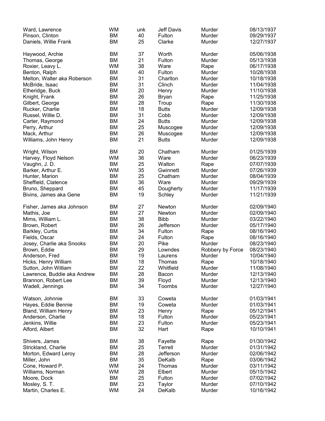| Ward, Lawrence              | <b>WM</b> | unk | <b>Jeff Davis</b> | Murder           | 08/13/1937 |
|-----------------------------|-----------|-----|-------------------|------------------|------------|
| Pinson, Clinton             | <b>BM</b> | 40  | Fulton            | Murder           | 09/29/1937 |
| Daniels, Willie Frank       | BM        | 25  | Clarke            | Murder           | 12/27/1937 |
|                             |           |     |                   |                  |            |
| Haywood, Archie             | <b>BM</b> | 37  | Worth             | Murder           | 05/06/1938 |
| Thomas, George              | BM        | 21  | Fulton            | Murder           | 05/13/1938 |
| Roxier, Leavy L.            | <b>WM</b> | 38  | Ware              | Rape             | 06/17/1938 |
| Benton, Ralph               | <b>BM</b> | 40  | Fulton            | Murder           | 10/28/1938 |
|                             |           |     |                   |                  |            |
| Melton, Walter aka Roberson | <b>BM</b> | 31  | Charlton          | Murder           | 10/18/1938 |
| McBride, Isaac              | <b>BM</b> | 31  | Clinch            | Murder           | 11/04/1938 |
| Etheridge, Buck             | <b>BM</b> | 20  | Henry             | Murder           | 11/10/1938 |
| Knight, Frank               | <b>BM</b> | 26  | <b>Bryan</b>      | Rape             | 11/25/1938 |
| Gilbert, George             | <b>BM</b> | 28  | Troup             | Rape             | 11/30/1938 |
| Rucker, Charlie             | <b>BM</b> | 18  | <b>Butts</b>      | Murder           | 12/09/1938 |
| Russel, Willie D.           | <b>BM</b> | 31  | Cobb              | Murder           | 12/09/1938 |
| Carter, Raymond             | BM        | 24  | <b>Butts</b>      | Murder           | 12/09/1938 |
| Perry, Arthur               | <b>BM</b> | 25  | Muscogee          | Murder           | 12/09/1938 |
| Mack, Arthur                | <b>BM</b> | 26  | Muscogee          | Murder           | 12/09/1938 |
| Williams, John Henry        | <b>BM</b> | 21  | <b>Butts</b>      | Murder           | 12/09/1938 |
|                             |           |     |                   |                  |            |
| Wright, Wilson              | BM        | 20  | Chatham           | Murder           | 01/25/1939 |
| Harvey, Floyd Nelson        | <b>WM</b> | 36  | Ware              | Murder           | 06/23/1939 |
|                             |           |     |                   |                  |            |
| Vaughn, J. D.               | <b>BM</b> | 25  | Walton            | Rape             | 07/07/1939 |
| Barker, Arthur E.           | <b>WM</b> | 35  | Gwinnett          | Murder           | 07/26/1939 |
| Hunter, Marion              | <b>BM</b> | 25  | Chatham           | Murder           | 08/04/1939 |
| Sheffield, Clatence         | <b>BM</b> | 36  | Ware              | Murder           | 09/29/1939 |
| Bruno, Sheppard             | BM        | 45  | Dougherty         | Murder           | 11/17/1939 |
| Bivins, James aka Gene      | <b>BM</b> | 19  | Schley            | Murder           | 11/21/1939 |
|                             |           |     |                   |                  |            |
| Fisher, James aka Johnson   | BM        | 27  | Newton            | Murder           | 02/09/1940 |
| Mathis, Joe                 | BM        | 27  | Newton            | Murder           | 02/09/1940 |
| Mims, William L.            | <b>BM</b> | 38  | <b>Bibb</b>       | Murder           | 03/22/1940 |
| Brown, Robert               | <b>BM</b> | 26  | Jefferson         | Murder           | 05/17/1940 |
| Barkley, Curtis             | <b>BM</b> | 34  | Fulton            | Rape             | 08/16/1940 |
| Fields, Oscar               | <b>BM</b> | 24  | Fulton            | Rape             | 08/16/1940 |
| Josey, Charlie aka Snooks   | <b>BM</b> | 20  | Pike              | Murder           | 08/23/1940 |
| Brown, Eddie                | <b>BM</b> | 29  | Lowndes           | Robbery by Force | 08/23/1940 |
| Anderson, Fred              | <b>BM</b> | 19  | Laurens           | Murder           | 10/04/1940 |
| Hicks, Henry William        | <b>BM</b> | 18  | Thomas            | Rape             | 10/18/1940 |
| Sutton, John William        | BM        | 22  | Whitfield         | Murder           | 11/08/1940 |
|                             |           |     |                   |                  |            |
| Lawrence, Buddie aka Andrew | <b>BM</b> | 28  | Bacon             | Murder           | 12/13/1940 |
| Brannon, Robert Lee         | <b>BM</b> | 39  | Floyd             | Murder           | 12/13/1940 |
| Wadell, Jennings            | BM        | 34  | Toombs            | Murder           | 12/27/1940 |
| Watson, Johnnie             | BM        | 33  | Coweta            | Murder           | 01/03/1941 |
|                             |           |     |                   |                  |            |
| Hayes, Eddie Bennie         | BM        | 19  | Coweta            | Murder           | 01/03/1941 |
| <b>Bland, William Henry</b> | <b>BM</b> | 23  | Henry             | Rape             | 05/12/1941 |
| Anderson, Charlie           | <b>BM</b> | 18  | Fulton            | Murder           | 05/23/1941 |
| Jenkins, Willie             | <b>BM</b> | 23  | Fulton            | Murder           | 05/23/1941 |
| Alford, Albert              | <b>BM</b> | 32  | Hart              | Rape             | 10/10/1941 |
|                             |           |     |                   |                  |            |
| Shivers, James              | BM        | 38  | Fayette           | Rape             | 01/30/1942 |
| Strickland, Charlie         | BM        | 25  | Terrell           | Murder           | 01/31/1942 |
| Morton, Edward Leroy        | BM        | 28  | Jefferson         | Murder           | 02/06/1942 |
| Miller, John                | BM        | 35  | DeKalb            | Rape             | 03/06/1942 |
| Cone, Howard P.             | <b>WM</b> | 24  | Thomas            | Murder           | 03/11/1942 |
| Williams, Norman            | <b>WM</b> | 28  | Elbert            | Murder           | 05/15/1942 |
| Moore, Dock                 | BM        | 25  | Fulton            | Murder           | 07/02/1942 |
| Mosley, S. T.               | <b>BM</b> | 23  | Taylor            | Murder           | 07/10/1942 |
| Martin, Charles E.          | <b>WM</b> | 24  | DeKalb            | Murder           | 10/16/1942 |
|                             |           |     |                   |                  |            |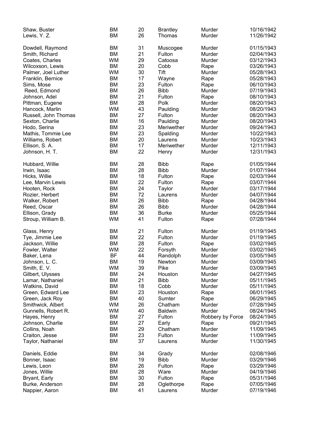| Shaw, Buster         | <b>BM</b> | 20 | <b>Brantley</b> | Murder           | 10/16/1942 |
|----------------------|-----------|----|-----------------|------------------|------------|
| Lewis, Y. Z.         | <b>BM</b> | 26 | Thomas          | Murder           | 11/26/1942 |
|                      |           |    |                 |                  |            |
| Dowdell, Raymond     | <b>BM</b> | 31 | Muscogee        | Murder           | 01/15/1943 |
| Smith, Richard       | BM        | 21 | Fulton          | Murder           | 02/04/1943 |
| Coates, Charles      | <b>WM</b> | 29 | Catoosa         | Murder           | 03/12/1943 |
| Wilcoxson, Lewis     | BM        | 20 | Cobb            | Rape             | 03/26/1943 |
| Palmer, Joel Luther  | <b>WM</b> | 30 | Tift            | Murder           | 05/28/1943 |
|                      | <b>BM</b> | 17 |                 |                  | 05/28/1943 |
| Franklin, Bernice    |           |    | Wayne           | Rape             |            |
| Sims, Mose           | <b>BM</b> | 23 | Fulton          | Rape             | 06/10/1943 |
| Reed, Edmond         | <b>BM</b> | 26 | <b>Bibb</b>     | Murder           | 07/19/1943 |
| Johnson, Adel        | <b>BM</b> | 21 | Fulton          | Rape             | 08/10/1943 |
| Pittman, Eugene      | <b>BM</b> | 28 | Polk            | Murder           | 08/20/1943 |
| Hancock, Marlin      | <b>WM</b> | 43 | Paulding        | Murder           | 08/20/1943 |
| Russell, John Thomas | <b>BM</b> | 27 | Fulton          | Murder           | 08/20/1943 |
| Sexton, Charlie      | <b>BM</b> | 16 | Paulding        | Murder           | 08/20/1943 |
| Hodo, Serina         | <b>BM</b> | 23 | Meriwether      | Murder           | 09/24/1943 |
| Mathis, Tommie Lee   | <b>BM</b> | 23 | Spalding        | Murder           | 10/22/1943 |
| Williams, Robert     | <b>BM</b> | 20 | Laurens         | Murder           | 10/23/1943 |
| Ellison, S. A.       | <b>BM</b> | 17 | Meriwether      | Murder           | 12/11/1943 |
| Johnson, H. T.       | <b>BM</b> | 22 | Henry           | Murder           | 12/31/1943 |
|                      |           |    |                 |                  |            |
| Hubbard, Willie      | <b>BM</b> | 28 | <b>Bibb</b>     | Rape             | 01/05/1944 |
| Irwin, Isaac         | <b>BM</b> | 28 | <b>Bibb</b>     | Murder           | 01/07/1944 |
| Hicks, Willie        | <b>BM</b> | 18 | Fulton          | Rape             | 02/03/1944 |
| Lee, Marvin Lewis    | <b>BM</b> | 22 | Fulton          | Rape             | 03/07/1944 |
| Hooten, Rock         | <b>BM</b> | 24 | Taylor          | Murder           | 03/17/1944 |
| Rozier, Herbert      | BM        | 72 | Laurens         | Murder           | 04/07/1944 |
| Walker, Robert       | <b>BM</b> | 26 | <b>Bibb</b>     | Rape             | 04/28/1944 |
| Reed, Oscar          | <b>BM</b> | 26 | <b>Bibb</b>     | Murder           | 04/28/1944 |
|                      |           |    |                 |                  |            |
| Ellison, Grady       | <b>BM</b> | 36 | <b>Burke</b>    | Murder           | 05/25/1944 |
| Stroup, William B.   | <b>WM</b> | 41 | Fulton          | Rape             | 07/28/1944 |
|                      |           |    |                 |                  |            |
| Glass, Henry         | <b>BM</b> | 21 | Fulton          | Murder           | 01/19/1945 |
| Tye, Jimmie Lee      | <b>BM</b> | 22 | Fulton          | Murder           | 01/19/1945 |
| Jackson, Willie      | <b>BM</b> | 28 | Fulton          | Rape             | 03/02/1945 |
| Fowler, Walter       | <b>WM</b> | 22 | Forsyth         | Murder           | 03/02/1945 |
| Baker, Lena          | <b>BF</b> | 44 | Randolph        | Murder           | 03/05/1945 |
| Johnson, L. C.       | <b>BM</b> | 19 | Newton          | Murder           | 03/09/1945 |
| Smith, E.V.          | WM        | 39 | Pike            | Murder           | 03/09/1945 |
| Gilbert, Ulysses     | BM        | 24 | Houston         | Murder           | 04/27/1945 |
| Lamar, Nathaniel     | BM        | 21 | <b>Bibb</b>     | Murder           | 05/11/1945 |
| Watkins, David       | <b>BM</b> | 18 | Cobb            | Murder           | 05/11/1945 |
| Green, Edward Lee    | <b>BM</b> | 23 | Houston         | Rape             | 06/01/1945 |
| Green, Jack Roy      | BM        | 40 | Sumter          | Rape             | 06/29/1945 |
| Smithwick, Albert    | <b>WM</b> | 26 | Chatham         | Murder           | 07/28/1945 |
| Gunnells, Robert R.  | <b>WM</b> | 40 | <b>Baldwin</b>  | Murder           | 08/24/1945 |
| Hayes, Henry         | <b>BM</b> | 27 | Fulton          | Robbery by Force | 08/24/1945 |
| Johnson, Charlie     | <b>BM</b> | 27 | Early           | Rape             | 09/21/1945 |
| Collins, Noah        | <b>BM</b> | 29 | Chatham         | Murder           | 11/09/1945 |
| Craiton, Jesse       | <b>BM</b> | 23 | Fulton          | Murder           | 11/09/1945 |
| Taylor, Nathaniel    | BM        | 37 | Laurens         | Murder           | 11/30/1945 |
|                      |           |    |                 |                  |            |
| Daniels, Eddie       | BM        | 34 | Grady           | Murder           | 02/08/1946 |
| Bonner, Isaac        | <b>BM</b> | 19 | <b>Bibb</b>     | Murder           | 03/29/1946 |
|                      |           |    |                 |                  |            |
| Lewis, Leon          | BM        | 26 | Fulton          | Rape             | 03/29/1946 |
| Jones, Willie        | BM        | 28 | Ware            | Murder           | 04/19/1946 |
| Bryant, Early        | BM        | 30 | Fulton          | Rape             | 05/31/1946 |
| Burke, Anderson      | BM        | 28 | Oglethorpe      | Rape             | 07/05/1946 |
| Nappier, Aaron       | <b>BM</b> | 41 | Laurens         | Murder           | 07/19/1946 |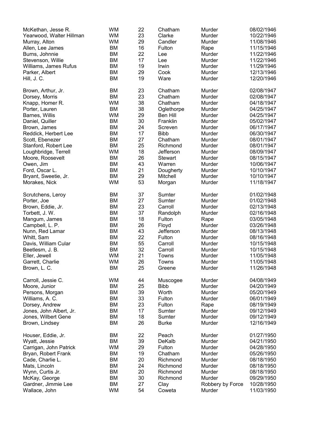| McKethan, Jesse R.                   | <b>WM</b> | 22 | Chatham         | Murder                     | 08/02/1946 |
|--------------------------------------|-----------|----|-----------------|----------------------------|------------|
| Yearwood, Walter Hillman             | <b>WM</b> | 23 | Clarke          | Murder                     | 10/22/1946 |
| Murray, Alton                        | <b>WM</b> | 29 | Candler         | Murder                     | 11/08/1946 |
| Allen, Lee James                     | <b>BM</b> | 16 | Fulton          | Rape                       | 11/15/1946 |
| Burns, Johnnie                       | <b>BM</b> | 22 | Lee             | Murder                     | 11/22/1946 |
| Stevenson, Willie                    | BM        | 17 | Lee             | Murder                     | 11/22/1946 |
| Williams, James Rufus                | <b>BM</b> | 19 | Irwin           | Murder                     | 11/29/1946 |
| Parker, Albert                       | <b>BM</b> | 29 | Cook            | Murder                     | 12/13/1946 |
| Hill, J.C.                           | <b>BM</b> | 19 | Ware            | Murder                     | 12/20/1946 |
|                                      |           |    |                 |                            |            |
| Brown, Arthur, Jr.                   | BM        | 23 | Chatham         | Murder                     | 02/08/1947 |
| Dorsey, Morris                       | <b>BM</b> | 23 | Chatham         | Murder                     | 02/08/1947 |
| Knapp, Homer R.                      | <b>WM</b> | 38 | Chatham         | Murder                     | 04/18/1947 |
| Porter, Lauren                       | BM        | 38 | Oglethorpe      | Murder                     | 04/25/1947 |
| Barnes, Willis                       | <b>WM</b> | 29 | <b>Ben Hill</b> | Murder                     | 04/25/1947 |
| Daniel, Quiller                      | <b>BM</b> | 30 | Franklin        | Murder                     | 05/02/1947 |
| Brown, James                         | <b>BM</b> | 24 | Screven         | Murder                     | 06/17/1947 |
| Reddick, Herbert Lee                 | ВM        | 17 | <b>Bibb</b>     | Murder                     | 06/30/1947 |
| Scott, Ebenezer                      | ВM        | 27 | Chatham         | Murder                     | 08/01/1947 |
| Stanford, Robert Lee                 | BM        | 25 | Richmond        | Murder                     | 08/01/1947 |
| Loughbridge, Terrell                 | <b>WM</b> | 18 | Jefferson       | Murder                     | 08/09/1947 |
| Moore, Roosevelt                     | <b>BM</b> | 26 | <b>Stewart</b>  | Murder                     | 08/15/1947 |
| Owen, Jim                            | <b>BM</b> | 43 | Warren          | Murder                     | 10/06/1947 |
| Ford, Oscar L.                       | BM        | 21 | Dougherty       | Murder                     | 10/10/1947 |
| Bryant, Sweetie, Jr.                 | BM        | 29 | Mitchell        | Murder                     | 10/10/1947 |
| Morakes, Nick                        | <b>WM</b> | 53 | Morgan          | Murder                     | 11/18/1947 |
| Scrutchens, Leroy                    | BM        | 37 | Sumter          | Murder                     | 01/02/1948 |
| Porter, Joe                          | <b>BM</b> | 27 | Sumter          | Murder                     | 01/02/1948 |
| Brown, Eddie, Jr.                    | <b>BM</b> | 23 | Carroll         | Murder                     | 02/13/1948 |
| Torbett, J. W.                       | <b>BM</b> | 37 | Randolph        | Murder                     | 02/16/1948 |
| Mangum, James                        | BM        | 18 | Fulton          | Rape                       | 03/05/1948 |
| Campbell, L. P.                      | <b>BM</b> | 26 | Floyd           | Murder                     | 03/26/1948 |
| Nunn, Red Lamar                      | <b>BM</b> | 43 | Jefferson       | Murder                     | 08/13/1948 |
| Whitt, Sam                           | <b>BM</b> | 22 | Fulton          | Murder                     | 08/16/1948 |
| Davis, William Cular                 | ВM        | 55 | Carroll         | Murder                     | 10/15/1948 |
| Beetlesm, J. B.                      | BM        | 32 | Carroll         | Murder                     | 10/15/1948 |
| Eller, Jewell                        | <b>WM</b> | 21 | Towns           | Murder                     | 11/05/1948 |
| Garrett, Charlie                     | <b>WM</b> | 26 |                 | Murder                     | 11/05/1948 |
|                                      | <b>BM</b> | 25 | Towns           | Murder                     | 11/26/1948 |
| Brown, L. C.                         |           |    | Greene          |                            |            |
| Carroll, Jessie C.                   | <b>WM</b> | 44 | Muscogee        | Murder                     | 04/08/1949 |
| Moore, Junior                        | <b>BM</b> | 25 | <b>Bibb</b>     | Murder                     | 04/20/1949 |
| Persons, Morgan                      | <b>BM</b> | 39 | Worth           | Murder                     | 05/20/1949 |
| Williams, A. C.                      | <b>BM</b> | 33 | Fulton          | Murder                     | 06/01/1949 |
| Dorsey, Andrew                       | <b>BM</b> | 23 | Fulton          | Rape                       | 08/19/1949 |
| Jones, John Albert, Jr.              | <b>BM</b> | 17 | Sumter          | Murder                     | 09/12/1949 |
| Jones, Wilbert Gene                  | ВM        | 18 | Sumter          | Murder                     | 09/12/1949 |
| Brown, Lindsey                       | <b>BM</b> | 26 | <b>Burke</b>    | Murder                     | 12/16/1949 |
| Houser, Eddie, Jr.                   | BM        | 22 | Peach           | Murder                     | 01/27/1950 |
| Wyatt, Jessie                        | <b>BM</b> | 39 | DeKalb          | Murder                     | 04/21/1950 |
| Carrigan, John Patrick               | <b>WM</b> | 29 | Fulton          | Murder                     | 04/28/1950 |
| Bryan, Robert Frank                  | BM        | 19 | Chatham         | Murder                     | 05/26/1950 |
| Cade, Charlie L.                     | <b>BM</b> | 20 | Richmond        | Murder                     | 08/18/1950 |
| Mats, Lincoln                        | <b>BM</b> | 24 | Richmond        | Murder                     | 08/18/1950 |
| Wynn, Curtis Jr.                     | <b>BM</b> | 20 | Richmond        | Murder                     | 08/18/1950 |
|                                      | <b>BM</b> | 30 | Richmond        | Murder                     | 09/29/1950 |
| McKay, George<br>Gardner, Jimmie Lee | <b>BM</b> | 27 |                 |                            | 10/28/1950 |
| Wallace, John                        | <b>WM</b> | 54 | Clay<br>Coweta  | Robbery by Force<br>Murder | 11/03/1950 |
|                                      |           |    |                 |                            |            |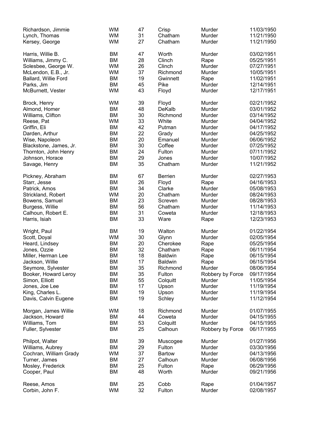| Richardson, Jimmie<br>Lynch, Thomas<br>Kersey, George | <b>WM</b><br><b>WM</b><br><b>WM</b> | 47<br>31<br>27 | Crisp<br>Chatham<br>Chatham | Murder<br>Murder<br>Murder | 11/03/1950<br>11/21/1950<br>11/21/1950 |
|-------------------------------------------------------|-------------------------------------|----------------|-----------------------------|----------------------------|----------------------------------------|
| Harris, Willie B.                                     | <b>BM</b>                           | 47             | Worth                       | Murder                     | 03/02/1951                             |
| Williams, Jimmy C.                                    | <b>BM</b>                           | 28             | Clinch                      | Rape                       | 05/25/1951                             |
|                                                       |                                     |                |                             |                            |                                        |
| Solesbee, George W.                                   | <b>WM</b>                           | 26             | Clinch                      | Murder                     | 07/27/1951                             |
| McLendon, E.B., Jr.                                   | <b>WM</b>                           | 37             | Richmond                    | Murder                     | 10/05/1951                             |
| Ballard, Willie Ford                                  | <b>BM</b>                           | 19             | Gwinnett                    | Rape                       | 11/02/1951                             |
| Parks, Jim                                            | <b>BM</b>                           | 45             | Pike                        | Murder                     | 12/14/1951                             |
| McBurnett, Vester                                     | <b>WM</b>                           | 43             | Floyd                       | Murder                     | 12/17/1951                             |
| Brock, Henry                                          | <b>WM</b>                           | 39             | Floyd                       | Murder                     | 02/21/1952                             |
| Almond, Homer                                         | <b>BM</b>                           | 48             | DeKalb                      | Murder                     | 03/01/1952                             |
| Williams, Clifton                                     | <b>BM</b>                           | 30             | Richmond                    | Murder                     | 03/14/1952                             |
| Reese, Pat                                            | <b>WM</b>                           | 33             | White                       | Murder                     | 04/04/1952                             |
| Griffin, Eli                                          | <b>BM</b>                           | 42             | Putman                      | Murder                     | 04/17/1952                             |
| Darden, Arthur                                        | BM                                  | 22             |                             | Murder                     | 04/25/1952                             |
|                                                       |                                     |                | Grady                       |                            |                                        |
| Wise, Napoleon                                        | <b>BM</b>                           | 20             | Emanuel                     | Murder                     | 06/06/1952                             |
| Blackstone, James, Jr.                                | <b>BM</b>                           | 30             | Coffee                      | Murder                     | 07/25/1952                             |
| Thornton, John Henry                                  | <b>BM</b>                           | 24             | Fulton                      | Murder                     | 07/11/1952                             |
| Johnson, Horace                                       | <b>BM</b>                           | 29             | Jones                       | Murder                     | 10/07/1952                             |
| Savage, Henry                                         | <b>BM</b>                           | 35             | Chatham                     | Murder                     | 11/21/1952                             |
| Pickney, Abraham                                      | <b>BM</b>                           | 67             | <b>Berrien</b>              | Murder                     | 02/27/1953                             |
| Starr, Jesse                                          | <b>BM</b>                           | 26             | Floyd                       | Rape                       | 04/16/1953                             |
| Patrick, Amos                                         | <b>BM</b>                           | 34             | Clarke                      | Murder                     | 05/08/1953                             |
| Strickland, Robert                                    | <b>WM</b>                           | 20             | Chatham                     | Murder                     | 08/24/1953                             |
| Bowens, Samuel                                        | <b>BM</b>                           | 23             | Screven                     | Murder                     | 08/28/1953                             |
| Burgess, Willie                                       | BM                                  | 56             | Chatham                     | Murder                     | 11/14/1953                             |
| Calhoun, Robert E.                                    | <b>BM</b>                           | 31             | Coweta                      | Murder                     | 12/18/1953                             |
| Harris, Isiah                                         | <b>BM</b>                           | 33             | Ware                        | Rape                       | 12/23/1953                             |
| Wright, Paul                                          | <b>BM</b>                           | 19             | Walton                      | Murder                     | 01/22/1954                             |
| Scott, Doyal                                          | <b>WM</b>                           | 30             | Glynn                       | Murder                     | 02/05/1954                             |
|                                                       |                                     | 20             | Cherokee                    |                            |                                        |
| Heard, Lindsey                                        | <b>BM</b>                           |                |                             | Rape                       | 05/25/1954                             |
| Jones, Ozzie                                          | <b>BM</b>                           | 32             | Chatham                     | Rape                       | 06/11/1954                             |
| Miller, Herman Lee                                    | <b>BM</b>                           | 18             | <b>Baldwin</b>              | Rape                       | 06/15/1954                             |
| Jackson, Willie                                       | <b>BM</b>                           | 17             | <b>Baldwin</b>              | Rape                       | 06/15/1954                             |
| Seymore, Sylvester                                    | <b>BM</b>                           | 35             | Richmond                    | Murder                     | 08/06/1954                             |
| Booker, Howard Leroy                                  | BM                                  | 35             | Fulton                      | Robbery by Force           | 09/17/1954                             |
| Simon, Elliott                                        | ВM                                  | 55             | Colquitt                    | Murder                     | 11/05/1954                             |
| Jones, Joe Lee                                        | BM                                  | 17             | Upson                       | Murder                     | 11/19/1954                             |
| King, Charles L.                                      | BM                                  | 19             | Upson                       | Murder                     | 11/19/1954                             |
| Davis, Calvin Eugene                                  | BM                                  | 19             | Schley                      | Murder                     | 11/12/1954                             |
| Morgan, James Willie                                  | <b>WM</b>                           | 18             | Richmond                    | Murder                     | 01/07/1955                             |
| Jackson, Howard                                       | BM                                  | 44             | Coweta                      | Murder                     | 04/15/1955                             |
| Williams, Tom                                         | BM                                  | 53             | Colquitt                    | Murder                     | 04/15/1955                             |
| Fuller, Sylvester                                     | BM                                  | 25             | Calhoun                     | Robbery by Force           | 06/17/1955                             |
|                                                       |                                     |                |                             |                            |                                        |
| Philpot, Walter                                       | ВM                                  | 39             | Muscogee                    | Murder                     | 01/27/1956                             |
| Williams, Aubrey                                      | ВM                                  | 29             | Fulton                      | Murder                     | 03/30/1956                             |
| Cochran, William Grady                                | <b>WM</b>                           | 37             | Bartow                      | Murder                     | 04/13/1956                             |
| Turner, James                                         | <b>BM</b>                           | 27             | Calhoun                     | Murder                     | 06/08/1956                             |
| Mosley, Frederick                                     | ВM                                  | 25             | Fulton                      | Rape                       | 06/29/1956                             |
| Cooper, Paul                                          | BM                                  | 48             | Worth                       | Murder                     | 09/21/1956                             |
| Reese, Amos<br>Corbin, John F.                        | BM<br><b>WM</b>                     | 25<br>32       | Cobb<br>Fulton              | Rape<br>Murder             | 01/04/1957<br>02/08/1957               |
|                                                       |                                     |                |                             |                            |                                        |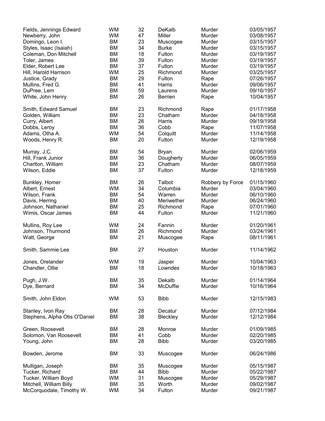| Fields, Jennings Edward       | <b>WM</b> | 32 | DeKalb         | Murder           | 03/05/1957 |
|-------------------------------|-----------|----|----------------|------------------|------------|
| Newberry, John                | <b>WM</b> | 47 | Miller         | Murder           | 03/08/1957 |
| Domingo, Leon I.              | BM        | 23 | Muscogee       | Murder           | 03/15/1957 |
| Styles, Isaac (Isaiah)        | <b>BM</b> | 34 | <b>Burke</b>   | Murder           | 03/15/1957 |
| Coleman, Don Mitchell         | <b>BM</b> | 18 | Fulton         | Murder           | 03/19/1957 |
| Toler, James                  | <b>BM</b> | 39 | Fulton         | Murder           | 03/19/1957 |
| Elder, Robert Lee             | <b>BM</b> | 37 | Fulton         | Murder           | 03/19/1957 |
| Hill, Harold Harrison         | <b>WM</b> | 25 | Richmond       | Murder           | 03/25/1957 |
|                               | BM        | 29 | Fulton         |                  | 07/26/1957 |
| Justice, Grady                |           |    |                | Rape             |            |
| Mullins, Fred G.              | <b>BM</b> | 41 | Harris         | Murder           | 09/06/1957 |
| DuPree, Lem                   | <b>BM</b> | 59 | Laurens        | Murder           | 09/16/1957 |
| White, John Henry             | <b>BM</b> | 26 | <b>Berrien</b> | Rape             | 10/04/1957 |
| Smith, Edward Samuel          | <b>BM</b> | 23 | Richmond       | Rape             | 01/17/1958 |
| Golden, William               | <b>BM</b> | 23 | Chatham        | Murder           | 04/18/1958 |
| Curry, Albert                 | <b>BM</b> | 26 | Harris         | Murder           | 09/19/1958 |
| Dobbs, Leroy                  | <b>BM</b> | 36 | Cobb           | Rape             | 11/07/1958 |
| Adams, Otha A.                | <b>WM</b> | 54 | Colquitt       | Murder           | 11/14/1958 |
|                               | <b>BM</b> | 20 | Fulton         |                  |            |
| Woods, Henry R.               |           |    |                | Murder           | 12/19/1958 |
| Murray, J.C.                  | <b>BM</b> | 54 | <b>Bryan</b>   | Murder           | 02/06/1959 |
| Hill, Frank Junior            | <b>BM</b> | 36 | Dougherty      | Murder           | 06/05/1959 |
| Charlton, William             | <b>BM</b> | 23 | Chatham        | Murder           | 08/07/1959 |
| Wilson, Eddie                 | <b>BM</b> | 37 | Fulton         | Murder           | 12/18/1959 |
|                               |           |    |                |                  |            |
| Bunkley, Homer                | <b>BM</b> | 26 | Talbot         | Robbery by Force | 01/15/1960 |
| Albert, Ernest                | <b>WM</b> | 34 | Columbia       | Murder           | 03/04/1960 |
| Wilson, Frank                 | <b>BM</b> | 54 | Warren         | Murder           | 06/10/1960 |
| Davis, Herring                | <b>BM</b> | 40 | Meriwether     | Murder           | 06/24/1960 |
| Johnson, Nathaniel            | <b>BM</b> | 25 | Richmond       | Rape             | 07/01/1960 |
| Wimis, Oscar James            | <b>BM</b> | 44 | Fulton         | Murder           | 11/21/1960 |
| Mullins, Roy Lee              | <b>WM</b> | 24 | Fannin         | Murder           | 01/20/1961 |
| Johnson, Thurmond             | <b>BM</b> | 26 | Richmond       | Murder           | 03/24/1961 |
|                               | <b>BM</b> | 21 |                |                  |            |
| Watt, George                  |           |    | Muscogee       | Rape             | 08/11/1961 |
| Smith, Sammie Lee             | <b>BM</b> | 27 | Houston        | Murder           | 11/14/1962 |
| Jones, Orelander              | <b>WM</b> | 19 | Jasper         | Murder           | 10/04/1963 |
| Chandler, Ollie               | <b>BM</b> | 18 | Lowndes        | Murder           | 10/18/1963 |
| Pugh, J.W.                    | <b>BM</b> | 35 | Dekalb         | Murder           | 01/14/1964 |
|                               |           |    |                |                  |            |
| Dye, Bernard                  | <b>BM</b> | 34 | McDuffie       | Murder           | 10/16/1964 |
| Smith, John Eldon             | <b>WM</b> | 53 | <b>Bibb</b>    | Murder           | 12/15/1983 |
| Stanley, Ivon Ray             | <b>BM</b> | 28 | Decatur        | Murder           | 07/12/1984 |
| Stephens, Alpha Otis O'Daniel | <b>BM</b> | 38 | Bleckley       | Murder           | 12/12/1984 |
|                               |           |    |                |                  |            |
| Green, Roosevelt              | BM        | 28 | Monroe         | Murder           | 01/09/1985 |
| Solomon, Van Roosevelt        | BM        | 41 | Cobb           | Murder           | 02/20/1985 |
| Young, John                   | <b>BM</b> | 28 | <b>Bibb</b>    | Murder           | 03/20/1985 |
| Bowden, Jerome                | <b>BM</b> | 33 | Muscogee       | Murder           | 06/24/1986 |
| Mulligan, Joseph              | <b>BM</b> | 35 | Muscogee       | Murder           | 05/15/1987 |
| Tucker, Richard               | BM        | 44 | <b>Bibb</b>    | Murder           | 05/22/1987 |
| Tucker, William Boyd          | <b>WM</b> | 31 | Muscogee       | Murder           | 05/29/1987 |
| Mitchell, William Billy       | <b>BM</b> | 35 | Worth          | Murder           | 09/02/1987 |
|                               |           | 34 | Fulton         |                  | 09/21/1987 |
| McCorquodale, Timothy W.      | <b>WM</b> |    |                | Murder           |            |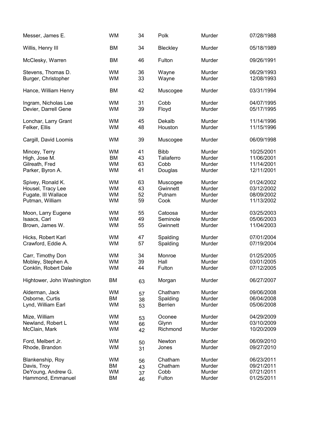| Messer, James E.           | <b>WM</b> | 34 | Polk           | Murder | 07/28/1988 |
|----------------------------|-----------|----|----------------|--------|------------|
| Willis, Henry III          | <b>BM</b> | 34 | Bleckley       | Murder | 05/18/1989 |
| McClesky, Warren           | <b>BM</b> | 46 | Fulton         | Murder | 09/26/1991 |
| Stevens, Thomas D.         | <b>WM</b> | 36 | Wayne          | Murder | 06/29/1993 |
| Burger, Christopher        | <b>WM</b> | 33 | Wayne          | Murder | 12/08/1993 |
| Hance, William Henry       | <b>BM</b> | 42 | Muscogee       | Murder | 03/31/1994 |
| Ingram, Nicholas Lee       | <b>WM</b> | 31 | Cobb           | Murder | 04/07/1995 |
| Devier, Darrell Gene       | <b>WM</b> | 39 | Floyd          | Murder | 05/17/1995 |
| Lonchar, Larry Grant       | <b>WM</b> | 45 | Dekalb         | Murder | 11/14/1996 |
| Felker, Ellis              | <b>WM</b> | 48 | Houston        | Murder | 11/15/1996 |
| Cargill, David Loomis      | <b>WM</b> | 39 | Muscogee       | Murder | 06/09/1998 |
| Mincey, Terry              | <b>WM</b> | 41 | <b>Bibb</b>    | Murder | 10/25/2001 |
| High, Jose M.              | <b>BM</b> | 43 | Taliaferro     | Murder | 11/06/2001 |
| Gilreath, Fred             | <b>WM</b> | 63 | Cobb           | Murder | 11/14/2001 |
| Parker, Byron A.           | <b>WM</b> | 41 | Douglas        | Murder | 12/11/2001 |
| Spivey, Ronald K.          | <b>WM</b> | 63 | Muscogee       | Murder | 01/24/2002 |
| Housel, Tracy Lee          | <b>WM</b> | 43 | Gwinnett       | Murder | 03/12/2002 |
| Fugate, III Wallace        | <b>WM</b> | 52 | Putnam         | Murder | 08/09/2002 |
| Putman, William            | <b>WM</b> | 59 | Cook           | Murder | 11/13/2002 |
| Moon, Larry Eugene         | <b>WM</b> | 55 | Catoosa        | Murder | 03/25/2003 |
| Isaacs, Carl               | <b>WM</b> | 49 | Seminole       | Murder | 05/06/2003 |
| Brown, James W.            | <b>WM</b> | 55 | Gwinnett       | Murder | 11/04/2003 |
| Hicks, Robert Karl         | <b>WM</b> | 47 | Spalding       | Murder | 07/01/2004 |
| Crawford, Eddie A.         | <b>WM</b> | 57 | Spalding       | Murder | 07/19/2004 |
| Carr, Timothy Don          | <b>WM</b> | 34 | Monroe         | Murder | 01/25/2005 |
| Mobley, Stephen A.         | <b>WM</b> | 39 | Hall           | Murder | 03/01/2005 |
| Conklin, Robert Dale       | <b>WM</b> | 44 | Fulton         | Murder | 07/12/2005 |
| Hightower, John Washington | BM        | 63 | Morgan         | Murder | 06/27/2007 |
| Alderman, Jack             | <b>WM</b> | 57 | Chatham        | Murder | 09/06/2008 |
| Osborne, Curtis            | <b>BM</b> | 38 | Spalding       | Murder | 06/04/2008 |
| Lynd, William Earl         | <b>WM</b> | 53 | <b>Berrien</b> | Murder | 05/06/2008 |
| Mize, William              | <b>WM</b> | 53 | Oconee         | Murder | 04/29/2009 |
| Newland, Robert L          | <b>WM</b> | 66 | Glynn          | Murder | 03/10/2009 |
| McClain, Mark              | <b>WM</b> | 42 | Richmond       | Murder | 10/20/2009 |
| Ford, Melbert Jr.          | <b>WM</b> | 50 | Newton         | Murder | 06/09/2010 |
| Rhode, Brandon             | <b>WM</b> | 31 | Jones          | Murder | 09/27/2010 |
| Blankenship, Roy           | <b>WM</b> | 56 | Chatham        | Murder | 06/23/2011 |
| Davis, Troy                | BM        | 43 | Chatham        | Murder | 09/21/2011 |
| DeYoung, Andrew G.         | <b>WM</b> | 37 | Cobb           | Murder | 07/21/2011 |
| Hammond, Emmanuel          | BM        | 46 | Fulton         | Murder | 01/25/2011 |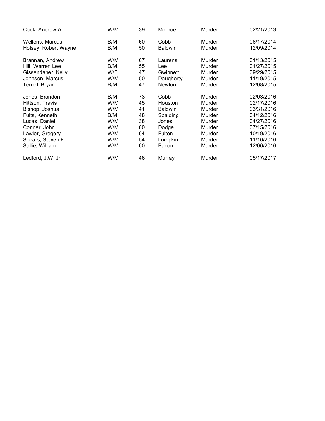| Cook, Andrew A       | W/M | 39 | Monroe         | Murder | 02/21/2013 |
|----------------------|-----|----|----------------|--------|------------|
| Wellons, Marcus      | B/M | 60 | Cobb           | Murder | 06/17/2014 |
| Holsey, Robert Wayne | B/M | 50 | <b>Baldwin</b> | Murder | 12/09/2014 |
| Brannan, Andrew      | W/M | 67 | Laurens        | Murder | 01/13/2015 |
| Hill, Warren Lee     | B/M | 55 | Lee            | Murder | 01/27/2015 |
| Gissendaner, Kelly   | W/F | 47 | Gwinnett       | Murder | 09/29/2015 |
| Johnson, Marcus      | W/M | 50 | Daugherty      | Murder | 11/19/2015 |
| Terrell, Bryan       | B/M | 47 | <b>Newton</b>  | Murder | 12/08/2015 |
| Jones, Brandon       | B/M | 73 | Cobb           | Murder | 02/03/2016 |
| Hittson, Travis      | W/M | 45 | Houston        | Murder | 02/17/2016 |
| Bishop, Joshua       | W/M | 41 | <b>Baldwin</b> | Murder | 03/31/2016 |
| Fults, Kenneth       | B/M | 48 | Spalding       | Murder | 04/12/2016 |
| Lucas, Daniel        | W/M | 38 | Jones          | Murder | 04/27/2016 |
| Conner, John         | W/M | 60 | Dodge          | Murder | 07/15/2016 |
| Lawler, Gregory      | W/M | 64 | Fulton         | Murder | 10/19/2016 |
| Spears, Steven F.    | W/M | 54 | Lumpkin        | Murder | 11/16/2016 |
| Sallie, William      | W/M | 60 | Bacon          | Murder | 12/06/2016 |
| Ledford, J.W. Jr.    | W/M | 46 | Murray         | Murder | 05/17/2017 |